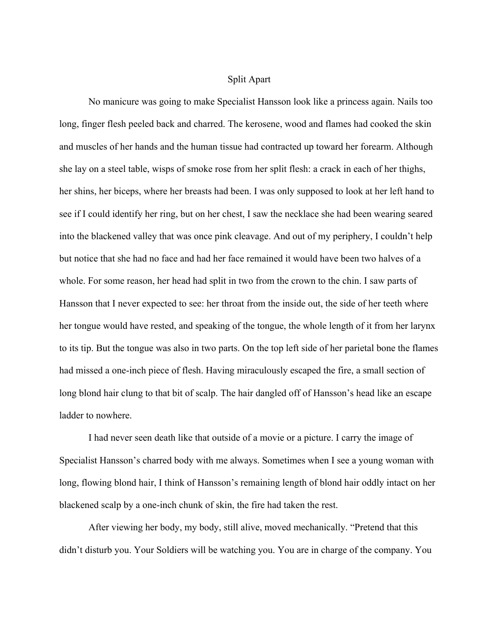## Split Apart

No manicure was going to make Specialist Hansson look like a princess again. Nails too long, finger flesh peeled back and charred. The kerosene, wood and flames had cooked the skin and muscles of her hands and the human tissue had contracted up toward her forearm. Although she lay on a steel table, wisps of smoke rose from her split flesh: a crack in each of her thighs, her shins, her biceps, where her breasts had been. I was only supposed to look at her left hand to see if I could identify her ring, but on her chest, I saw the necklace she had been wearing seared into the blackened valley that was once pink cleavage. And out of my periphery, I couldn't help but notice that she had no face and had her face remained it would have been two halves of a whole. For some reason, her head had split in two from the crown to the chin. I saw parts of Hansson that I never expected to see: her throat from the inside out, the side of her teeth where her tongue would have rested, and speaking of the tongue, the whole length of it from her larynx to its tip. But the tongue was also in two parts. On the top left side of her parietal bone the flames had missed a one-inch piece of flesh. Having miraculously escaped the fire, a small section of long blond hair clung to that bit of scalp. The hair dangled off of Hansson's head like an escape ladder to nowhere.

I had never seen death like that outside of a movie or a picture. I carry the image of Specialist Hansson's charred body with me always. Sometimes when I see a young woman with long, flowing blond hair, I think of Hansson's remaining length of blond hair oddly intact on her blackened scalp by a one-inch chunk of skin, the fire had taken the rest.

After viewing her body, my body, still alive, moved mechanically. "Pretend that this didn't disturb you. Your Soldiers will be watching you. You are in charge of the company. You